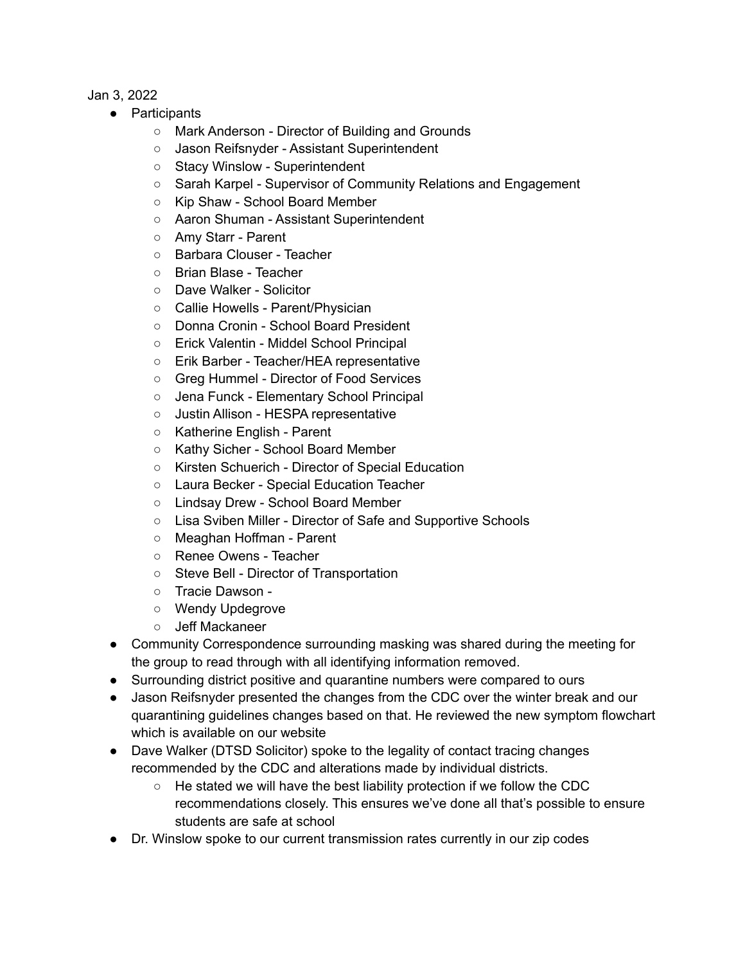Jan 3, 2022

- Participants
	- Mark Anderson Director of Building and Grounds
	- Jason Reifsnyder Assistant Superintendent
	- Stacy Winslow Superintendent
	- Sarah Karpel Supervisor of Community Relations and Engagement
	- Kip Shaw School Board Member
	- Aaron Shuman Assistant Superintendent
	- Amy Starr Parent
	- Barbara Clouser Teacher
	- Brian Blase Teacher
	- Dave Walker Solicitor
	- Callie Howells Parent/Physician
	- Donna Cronin School Board President
	- Erick Valentin Middel School Principal
	- Erik Barber Teacher/HEA representative
	- Greg Hummel Director of Food Services
	- Jena Funck Elementary School Principal
	- Justin Allison HESPA representative
	- Katherine English Parent
	- Kathy Sicher School Board Member
	- Kirsten Schuerich Director of Special Education
	- Laura Becker Special Education Teacher
	- Lindsay Drew School Board Member
	- Lisa Sviben Miller Director of Safe and Supportive Schools
	- Meaghan Hoffman Parent
	- Renee Owens Teacher
	- Steve Bell Director of Transportation
	- Tracie Dawson -
	- Wendy Updegrove
	- Jeff Mackaneer
- Community Correspondence surrounding masking was shared during the meeting for the group to read through with all identifying information removed.
- Surrounding district positive and quarantine numbers were compared to ours
- Jason Reifsnyder presented the changes from the CDC over the winter break and our quarantining guidelines changes based on that. He reviewed the new symptom flowchart which is available on our website
- Dave Walker (DTSD Solicitor) spoke to the legality of contact tracing changes recommended by the CDC and alterations made by individual districts.
	- He stated we will have the best liability protection if we follow the CDC recommendations closely. This ensures we've done all that's possible to ensure students are safe at school
- Dr. Winslow spoke to our current transmission rates currently in our zip codes